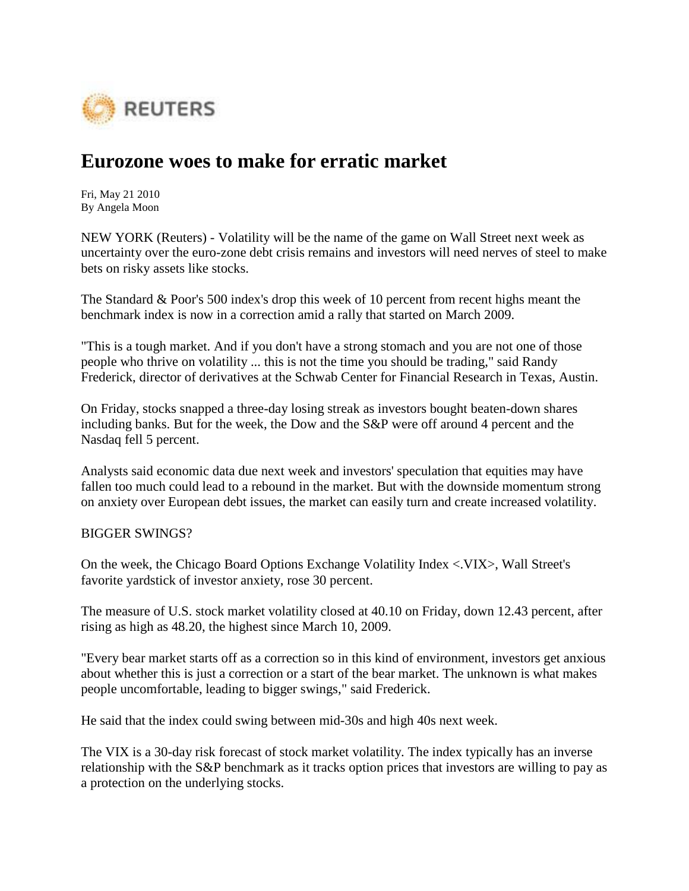

## **Eurozone woes to make for erratic market**

Fri, May 21 2010 By Angela Moon

NEW YORK (Reuters) - Volatility will be the name of the game on Wall Street next week as uncertainty over the euro-zone debt crisis remains and investors will need nerves of steel to make bets on risky assets like stocks.

The Standard & Poor's 500 index's drop this week of 10 percent from recent highs meant the benchmark index is now in a correction amid a rally that started on March 2009.

"This is a tough market. And if you don't have a strong stomach and you are not one of those people who thrive on volatility ... this is not the time you should be trading," said Randy Frederick, director of derivatives at the Schwab Center for Financial Research in Texas, Austin.

On Friday, stocks snapped a three-day losing streak as investors bought beaten-down shares including banks. But for the week, the Dow and the S&P were off around 4 percent and the Nasdaq fell 5 percent.

Analysts said economic data due next week and investors' speculation that equities may have fallen too much could lead to a rebound in the market. But with the downside momentum strong on anxiety over European debt issues, the market can easily turn and create increased volatility.

## BIGGER SWINGS?

On the week, the Chicago Board Options Exchange Volatility Index <.VIX>, Wall Street's favorite yardstick of investor anxiety, rose 30 percent.

The measure of U.S. stock market volatility closed at 40.10 on Friday, down 12.43 percent, after rising as high as 48.20, the highest since March 10, 2009.

"Every bear market starts off as a correction so in this kind of environment, investors get anxious about whether this is just a correction or a start of the bear market. The unknown is what makes people uncomfortable, leading to bigger swings," said Frederick.

He said that the index could swing between mid-30s and high 40s next week.

The VIX is a 30-day risk forecast of stock market volatility. The index typically has an inverse relationship with the S&P benchmark as it tracks option prices that investors are willing to pay as a protection on the underlying stocks.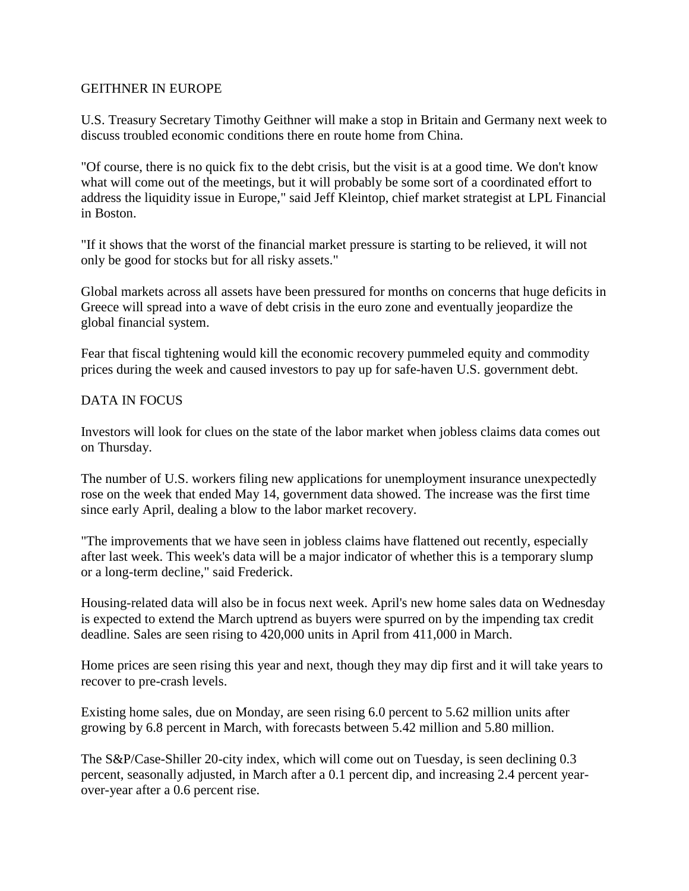## GEITHNER IN EUROPE

U.S. Treasury Secretary Timothy Geithner will make a stop in Britain and Germany next week to discuss troubled economic conditions there en route home from China.

"Of course, there is no quick fix to the debt crisis, but the visit is at a good time. We don't know what will come out of the meetings, but it will probably be some sort of a coordinated effort to address the liquidity issue in Europe," said Jeff Kleintop, chief market strategist at LPL Financial in Boston.

"If it shows that the worst of the financial market pressure is starting to be relieved, it will not only be good for stocks but for all risky assets."

Global markets across all assets have been pressured for months on concerns that huge deficits in Greece will spread into a wave of debt crisis in the euro zone and eventually jeopardize the global financial system.

Fear that fiscal tightening would kill the economic recovery pummeled equity and commodity prices during the week and caused investors to pay up for safe-haven U.S. government debt.

## DATA IN FOCUS

Investors will look for clues on the state of the labor market when jobless claims data comes out on Thursday.

The number of U.S. workers filing new applications for unemployment insurance unexpectedly rose on the week that ended May 14, government data showed. The increase was the first time since early April, dealing a blow to the labor market recovery.

"The improvements that we have seen in jobless claims have flattened out recently, especially after last week. This week's data will be a major indicator of whether this is a temporary slump or a long-term decline," said Frederick.

Housing-related data will also be in focus next week. April's new home sales data on Wednesday is expected to extend the March uptrend as buyers were spurred on by the impending tax credit deadline. Sales are seen rising to 420,000 units in April from 411,000 in March.

Home prices are seen rising this year and next, though they may dip first and it will take years to recover to pre-crash levels.

Existing home sales, due on Monday, are seen rising 6.0 percent to 5.62 million units after growing by 6.8 percent in March, with forecasts between 5.42 million and 5.80 million.

The S&P/Case-Shiller 20-city index, which will come out on Tuesday, is seen declining 0.3 percent, seasonally adjusted, in March after a 0.1 percent dip, and increasing 2.4 percent yearover-year after a 0.6 percent rise.